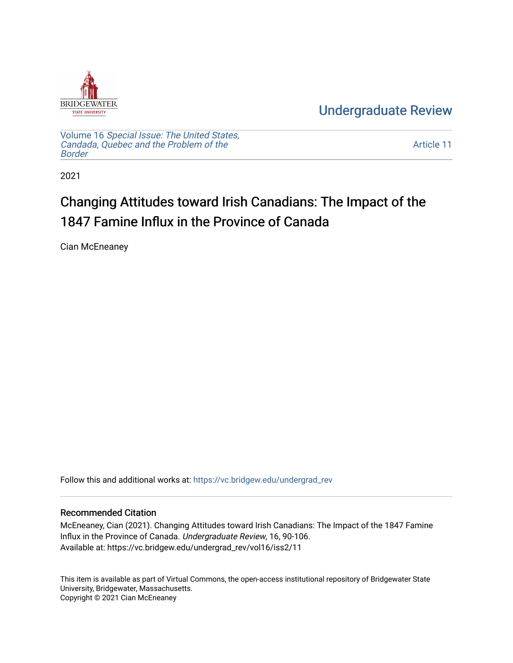

[Undergraduate Review](https://vc.bridgew.edu/undergrad_rev) 

Volume 16 [Special Issue: The United States,](https://vc.bridgew.edu/undergrad_rev/vol16)  [Candada, Quebec and the Problem of the](https://vc.bridgew.edu/undergrad_rev/vol16)  [Border](https://vc.bridgew.edu/undergrad_rev/vol16)

[Article 11](https://vc.bridgew.edu/undergrad_rev/vol16/iss2/11) 

2021

## Changing Attitudes toward Irish Canadians: The Impact of the 1847 Famine Influx in the Province of Canada

Cian McEneaney

Follow this and additional works at: [https://vc.bridgew.edu/undergrad\\_rev](https://vc.bridgew.edu/undergrad_rev?utm_source=vc.bridgew.edu%2Fundergrad_rev%2Fvol16%2Fiss2%2F11&utm_medium=PDF&utm_campaign=PDFCoverPages)

### Recommended Citation

McEneaney, Cian (2021). Changing Attitudes toward Irish Canadians: The Impact of the 1847 Famine Influx in the Province of Canada. Undergraduate Review, 16, 90-106. Available at: https://vc.bridgew.edu/undergrad\_rev/vol16/iss2/11

This item is available as part of Virtual Commons, the open-access institutional repository of Bridgewater State University, Bridgewater, Massachusetts. Copyright © 2021 Cian McEneaney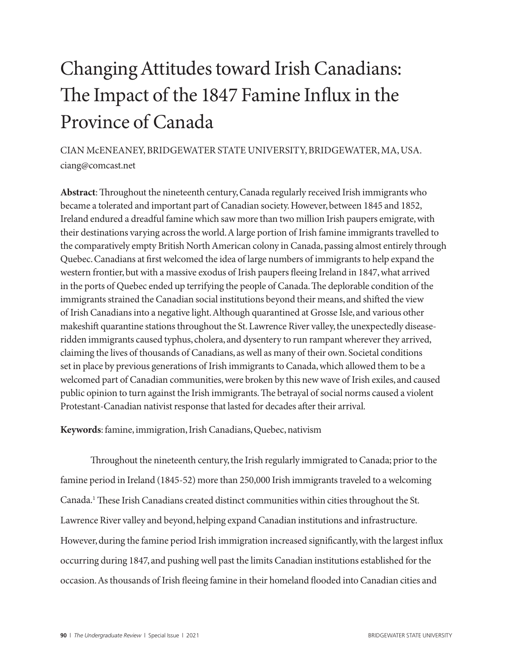# Changing Attitudes toward Irish Canadians: The Impact of the 1847 Famine Influx in the Province of Canada

CIAN McENEANEY, BRIDGEWATER STATE UNIVERSITY, BRIDGEWATER, MA, USA. ciang@comcast.net

**Abstract**: Throughout the nineteenth century, Canada regularly received Irish immigrants who became a tolerated and important part of Canadian society. However, between 1845 and 1852, Ireland endured a dreadful famine which saw more than two million Irish paupers emigrate, with their destinations varying across the world. A large portion of Irish famine immigrants travelled to the comparatively empty British North American colony in Canada, passing almost entirely through Quebec. Canadians at first welcomed the idea of large numbers of immigrants to help expand the western frontier, but with a massive exodus of Irish paupers fleeing Ireland in 1847, what arrived in the ports of Quebec ended up terrifying the people of Canada. The deplorable condition of the immigrants strained the Canadian social institutions beyond their means, and shifted the view of Irish Canadians into a negative light. Although quarantined at Grosse Isle, and various other makeshift quarantine stations throughout the St. Lawrence River valley, the unexpectedly diseaseridden immigrants caused typhus, cholera, and dysentery to run rampant wherever they arrived, claiming the lives of thousands of Canadians, as well as many of their own. Societal conditions set in place by previous generations of Irish immigrants to Canada, which allowed them to be a welcomed part of Canadian communities, were broken by this new wave of Irish exiles, and caused public opinion to turn against the Irish immigrants. The betrayal of social norms caused a violent Protestant-Canadian nativist response that lasted for decades after their arrival.

**Keywords**: famine, immigration, Irish Canadians, Quebec, nativism

Throughout the nineteenth century, the Irish regularly immigrated to Canada; prior to the famine period in Ireland (1845-52) more than 250,000 Irish immigrants traveled to a welcoming Canada.1 These Irish Canadians created distinct communities within cities throughout the St. Lawrence River valley and beyond, helping expand Canadian institutions and infrastructure. However, during the famine period Irish immigration increased significantly, with the largest influx occurring during 1847, and pushing well past the limits Canadian institutions established for the occasion. As thousands of Irish fleeing famine in their homeland flooded into Canadian cities and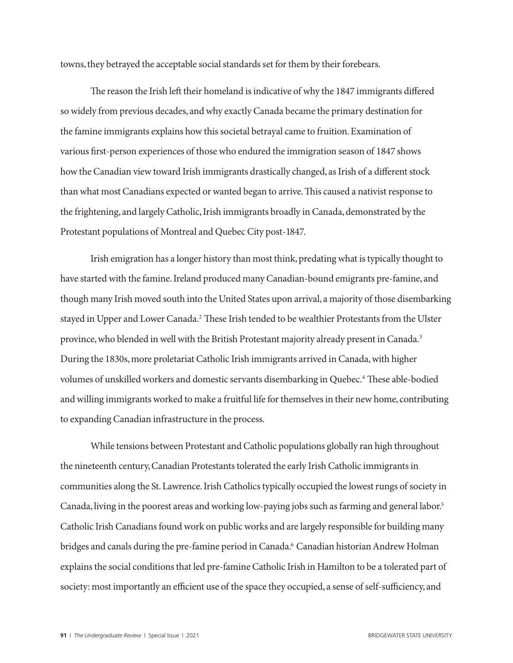towns, they betrayed the acceptable social standards set for them by their forebears.

The reason the Irish left their homeland is indicative of why the 1847 immigrants differed so widely from previous decades, and why exactly Canada became the primary destination for the famine immigrants explains how this societal betrayal came to fruition. Examination of various first-person experiences of those who endured the immigration season of 1847 shows how the Canadian view toward Irish immigrants drastically changed, as Irish of a different stock than what most Canadians expected or wanted began to arrive. This caused a nativist response to the frightening, and largely Catholic, Irish immigrants broadly in Canada, demonstrated by the Protestant populations of Montreal and Quebec City post-1847.

Irish emigration has a longer history than most think, predating what is typically thought to have started with the famine. Ireland produced many Canadian-bound emigrants pre-famine, and though many Irish moved south into the United States upon arrival, a majority of those disembarking stayed in Upper and Lower Canada.<sup>2</sup> These Irish tended to be wealthier Protestants from the Ulster province, who blended in well with the British Protestant majority already present in Canada.<sup>3</sup> During the 1830s, more proletariat Catholic Irish immigrants arrived in Canada, with higher volumes of unskilled workers and domestic servants disembarking in Quebec.<sup>4</sup> These able-bodied and willing immigrants worked to make a fruitful life for themselves in their new home, contributing to expanding Canadian infrastructure in the process.

While tensions between Protestant and Catholic populations globally ran high throughout the nineteenth century, Canadian Protestants tolerated the early Irish Catholic immigrants in communities along the St. Lawrence. Irish Catholics typically occupied the lowest rungs of society in Canada, living in the poorest areas and working low-paying jobs such as farming and general labor.5 Catholic Irish Canadians found work on public works and are largely responsible for building many bridges and canals during the pre-famine period in Canada.6 Canadian historian Andrew Holman explains the social conditions that led pre-famine Catholic Irish in Hamilton to be a tolerated part of society: most importantly an efficient use of the space they occupied, a sense of self-sufficiency, and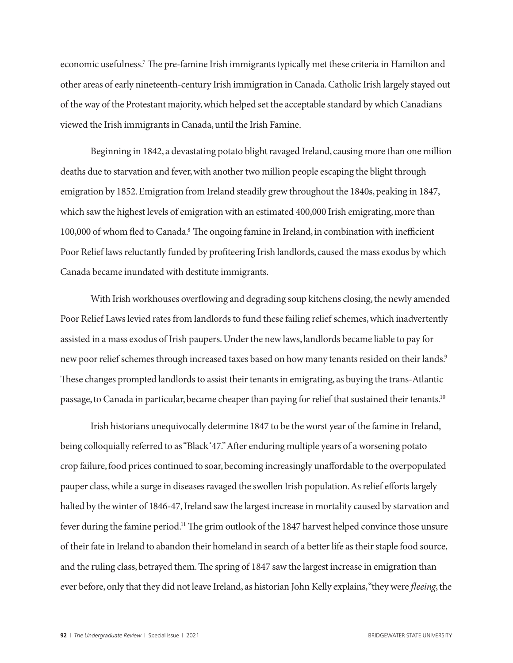economic usefulness.<sup>7</sup> The pre-famine Irish immigrants typically met these criteria in Hamilton and other areas of early nineteenth-century Irish immigration in Canada. Catholic Irish largely stayed out of the way of the Protestant majority, which helped set the acceptable standard by which Canadians viewed the Irish immigrants in Canada, until the Irish Famine.

Beginning in 1842, a devastating potato blight ravaged Ireland, causing more than one million deaths due to starvation and fever, with another two million people escaping the blight through emigration by 1852. Emigration from Ireland steadily grew throughout the 1840s, peaking in 1847, which saw the highest levels of emigration with an estimated 400,000 Irish emigrating, more than 100,000 of whom fled to Canada.<sup>8</sup> The ongoing famine in Ireland, in combination with inefficient Poor Relief laws reluctantly funded by profiteering Irish landlords, caused the mass exodus by which Canada became inundated with destitute immigrants.

With Irish workhouses overflowing and degrading soup kitchens closing, the newly amended Poor Relief Laws levied rates from landlords to fund these failing relief schemes, which inadvertently assisted in a mass exodus of Irish paupers. Under the new laws, landlords became liable to pay for new poor relief schemes through increased taxes based on how many tenants resided on their lands.<sup>9</sup> These changes prompted landlords to assist their tenants in emigrating, as buying the trans-Atlantic passage, to Canada in particular, became cheaper than paying for relief that sustained their tenants.10

Irish historians unequivocally determine 1847 to be the worst year of the famine in Ireland, being colloquially referred to as "Black '47." After enduring multiple years of a worsening potato crop failure, food prices continued to soar, becoming increasingly unaffordable to the overpopulated pauper class, while a surge in diseases ravaged the swollen Irish population. As relief efforts largely halted by the winter of 1846-47, Ireland saw the largest increase in mortality caused by starvation and fever during the famine period.11 The grim outlook of the 1847 harvest helped convince those unsure of their fate in Ireland to abandon their homeland in search of a better life as their staple food source, and the ruling class, betrayed them. The spring of 1847 saw the largest increase in emigration than ever before, only that they did not leave Ireland, as historian John Kelly explains, "they were *fleeing*, the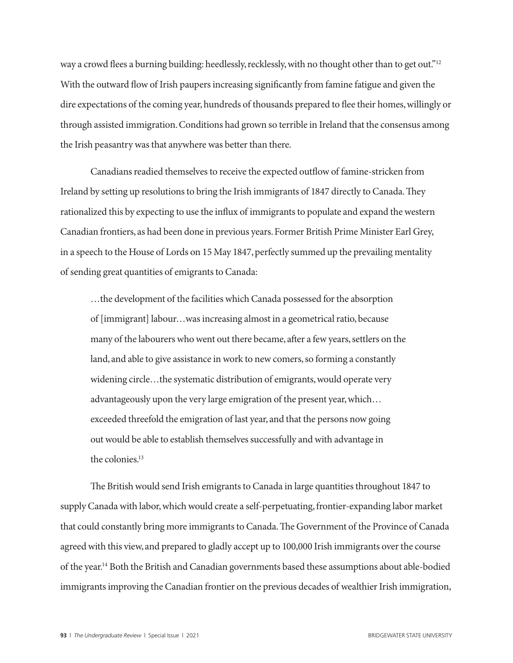way a crowd flees a burning building: heedlessly, recklessly, with no thought other than to get out."<sup>12</sup> With the outward flow of Irish paupers increasing significantly from famine fatigue and given the dire expectations of the coming year, hundreds of thousands prepared to flee their homes, willingly or through assisted immigration. Conditions had grown so terrible in Ireland that the consensus among the Irish peasantry was that anywhere was better than there.

Canadians readied themselves to receive the expected outflow of famine-stricken from Ireland by setting up resolutions to bring the Irish immigrants of 1847 directly to Canada. They rationalized this by expecting to use the influx of immigrants to populate and expand the western Canadian frontiers, as had been done in previous years. Former British Prime Minister Earl Grey, in a speech to the House of Lords on 15 May 1847, perfectly summed up the prevailing mentality of sending great quantities of emigrants to Canada:

…the development of the facilities which Canada possessed for the absorption of [immigrant] labour…was increasing almost in a geometrical ratio, because many of the labourers who went out there became, after a few years, settlers on the land, and able to give assistance in work to new comers, so forming a constantly widening circle…the systematic distribution of emigrants, would operate very advantageously upon the very large emigration of the present year, which… exceeded threefold the emigration of last year, and that the persons now going out would be able to establish themselves successfully and with advantage in the colonies.<sup>13</sup>

The British would send Irish emigrants to Canada in large quantities throughout 1847 to supply Canada with labor, which would create a self-perpetuating, frontier-expanding labor market that could constantly bring more immigrants to Canada. The Government of the Province of Canada agreed with this view, and prepared to gladly accept up to 100,000 Irish immigrants over the course of the year.14 Both the British and Canadian governments based these assumptions about able-bodied immigrants improving the Canadian frontier on the previous decades of wealthier Irish immigration,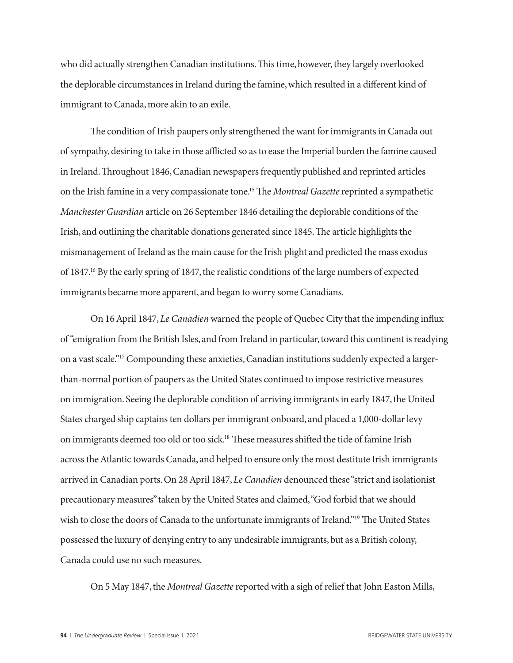who did actually strengthen Canadian institutions. This time, however, they largely overlooked the deplorable circumstances in Ireland during the famine, which resulted in a different kind of immigrant to Canada, more akin to an exile.

The condition of Irish paupers only strengthened the want for immigrants in Canada out of sympathy, desiring to take in those afflicted so as to ease the Imperial burden the famine caused in Ireland. Throughout 1846, Canadian newspapers frequently published and reprinted articles on the Irish famine in a very compassionate tone.15 The *Montreal Gazette* reprinted a sympathetic *Manchester Guardian* article on 26 September 1846 detailing the deplorable conditions of the Irish, and outlining the charitable donations generated since 1845. The article highlights the mismanagement of Ireland as the main cause for the Irish plight and predicted the mass exodus of 1847.16 By the early spring of 1847, the realistic conditions of the large numbers of expected immigrants became more apparent, and began to worry some Canadians.

On 16 April 1847, *Le Canadien* warned the people of Quebec City that the impending influx of "emigration from the British Isles, and from Ireland in particular, toward this continent is readying on a vast scale."17 Compounding these anxieties, Canadian institutions suddenly expected a largerthan-normal portion of paupers as the United States continued to impose restrictive measures on immigration. Seeing the deplorable condition of arriving immigrants in early 1847, the United States charged ship captains ten dollars per immigrant onboard, and placed a 1,000-dollar levy on immigrants deemed too old or too sick.18 These measures shifted the tide of famine Irish across the Atlantic towards Canada, and helped to ensure only the most destitute Irish immigrants arrived in Canadian ports. On 28 April 1847, *Le Canadien* denounced these "strict and isolationist precautionary measures" taken by the United States and claimed, "God forbid that we should wish to close the doors of Canada to the unfortunate immigrants of Ireland."<sup>19</sup> The United States possessed the luxury of denying entry to any undesirable immigrants, but as a British colony, Canada could use no such measures.

On 5 May 1847, the *Montreal Gazette* reported with a sigh of relief that John Easton Mills,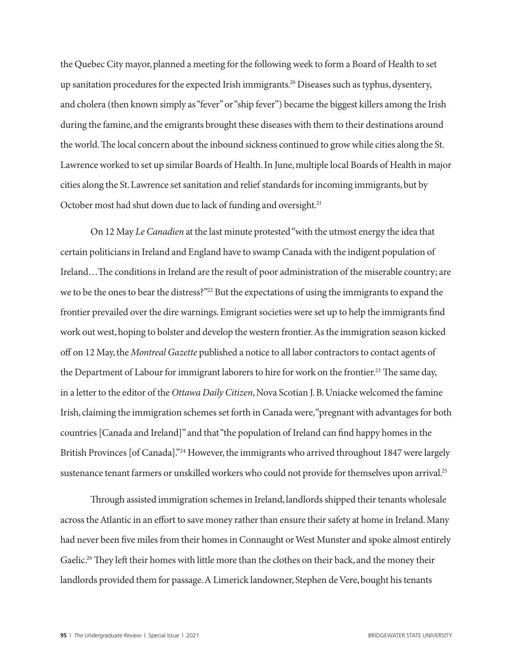the Quebec City mayor, planned a meeting for the following week to form a Board of Health to set up sanitation procedures for the expected Irish immigrants.20 Diseases such as typhus, dysentery, and cholera (then known simply as "fever" or "ship fever") became the biggest killers among the Irish during the famine, and the emigrants brought these diseases with them to their destinations around the world. The local concern about the inbound sickness continued to grow while cities along the St. Lawrence worked to set up similar Boards of Health. In June, multiple local Boards of Health in major cities along the St. Lawrence set sanitation and relief standards for incoming immigrants, but by October most had shut down due to lack of funding and oversight.<sup>21</sup>

On 12 May *Le Canadien* at the last minute protested "with the utmost energy the idea that certain politicians in Ireland and England have to swamp Canada with the indigent population of Ireland…The conditions in Ireland are the result of poor administration of the miserable country; are we to be the ones to bear the distress?"<sup>22</sup> But the expectations of using the immigrants to expand the frontier prevailed over the dire warnings. Emigrant societies were set up to help the immigrants find work out west, hoping to bolster and develop the western frontier. As the immigration season kicked off on 12 May, the *Montreal Gazette* published a notice to all labor contractors to contact agents of the Department of Labour for immigrant laborers to hire for work on the frontier.<sup>23</sup> The same day, in a letter to the editor of the *Ottawa Daily Citizen*, Nova Scotian J. B. Uniacke welcomed the famine Irish, claiming the immigration schemes set forth in Canada were, "pregnant with advantages for both countries [Canada and Ireland]" and that "the population of Ireland can find happy homes in the British Provinces [of Canada]."24 However, the immigrants who arrived throughout 1847 were largely sustenance tenant farmers or unskilled workers who could not provide for themselves upon arrival.<sup>25</sup>

Through assisted immigration schemes in Ireland, landlords shipped their tenants wholesale across the Atlantic in an effort to save money rather than ensure their safety at home in Ireland. Many had never been five miles from their homes in Connaught or West Munster and spoke almost entirely Gaelic.<sup>26</sup> They left their homes with little more than the clothes on their back, and the money their landlords provided them for passage. A Limerick landowner, Stephen de Vere, bought his tenants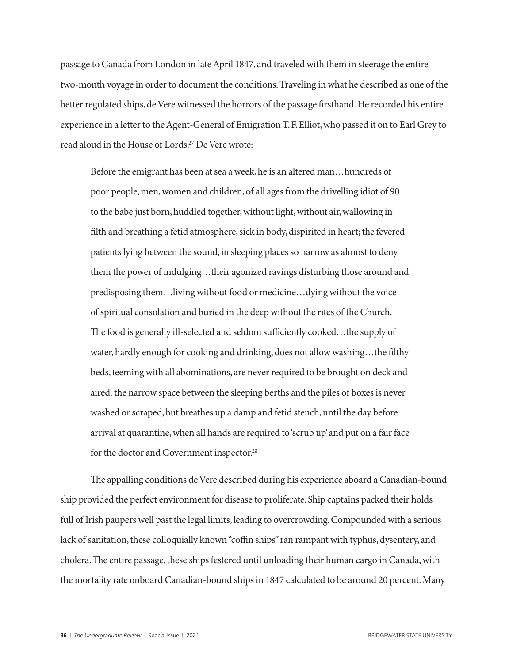passage to Canada from London in late April 1847, and traveled with them in steerage the entire two-month voyage in order to document the conditions. Traveling in what he described as one of the better regulated ships, de Vere witnessed the horrors of the passage firsthand. He recorded his entire experience in a letter to the Agent-General of Emigration T. F. Elliot, who passed it on to Earl Grey to read aloud in the House of Lords.27 De Vere wrote:

Before the emigrant has been at sea a week, he is an altered man…hundreds of poor people, men, women and children, of all ages from the drivelling idiot of 90 to the babe just born, huddled together, without light, without air, wallowing in filth and breathing a fetid atmosphere, sick in body, dispirited in heart; the fevered patients lying between the sound, in sleeping places so narrow as almost to deny them the power of indulging…their agonized ravings disturbing those around and predisposing them…living without food or medicine…dying without the voice of spiritual consolation and buried in the deep without the rites of the Church. The food is generally ill-selected and seldom sufficiently cooked…the supply of water, hardly enough for cooking and drinking, does not allow washing…the filthy beds, teeming with all abominations, are never required to be brought on deck and aired: the narrow space between the sleeping berths and the piles of boxes is never washed or scraped, but breathes up a damp and fetid stench, until the day before arrival at quarantine, when all hands are required to 'scrub up' and put on a fair face for the doctor and Government inspector.<sup>28</sup>

The appalling conditions de Vere described during his experience aboard a Canadian-bound ship provided the perfect environment for disease to proliferate. Ship captains packed their holds full of Irish paupers well past the legal limits, leading to overcrowding. Compounded with a serious lack of sanitation, these colloquially known "coffin ships" ran rampant with typhus, dysentery, and cholera. The entire passage, these ships festered until unloading their human cargo in Canada, with the mortality rate onboard Canadian-bound ships in 1847 calculated to be around 20 percent. Many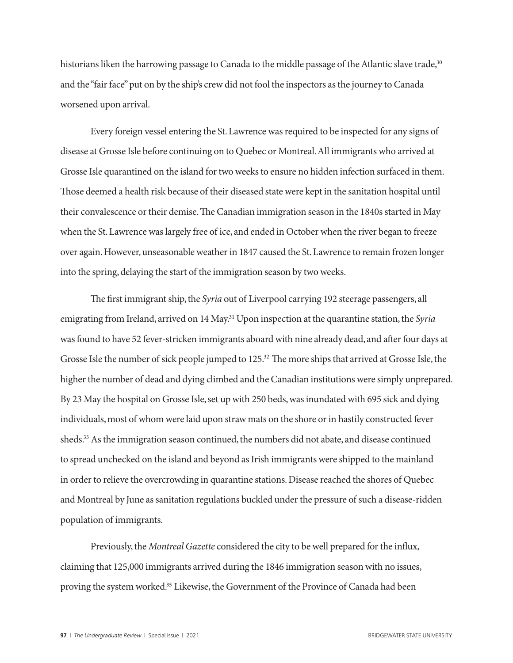historians liken the harrowing passage to Canada to the middle passage of the Atlantic slave trade,<sup>30</sup> and the "fair face" put on by the ship's crew did not fool the inspectors as the journey to Canada worsened upon arrival.

Every foreign vessel entering the St. Lawrence was required to be inspected for any signs of disease at Grosse Isle before continuing on to Quebec or Montreal. All immigrants who arrived at Grosse Isle quarantined on the island for two weeks to ensure no hidden infection surfaced in them. Those deemed a health risk because of their diseased state were kept in the sanitation hospital until their convalescence or their demise. The Canadian immigration season in the 1840s started in May when the St. Lawrence was largely free of ice, and ended in October when the river began to freeze over again. However, unseasonable weather in 1847 caused the St. Lawrence to remain frozen longer into the spring, delaying the start of the immigration season by two weeks.

The first immigrant ship, the *Syria* out of Liverpool carrying 192 steerage passengers, all emigrating from Ireland, arrived on 14 May.31 Upon inspection at the quarantine station, the *Syria* was found to have 52 fever-stricken immigrants aboard with nine already dead, and after four days at Grosse Isle the number of sick people jumped to 125.<sup>32</sup> The more ships that arrived at Grosse Isle, the higher the number of dead and dying climbed and the Canadian institutions were simply unprepared. By 23 May the hospital on Grosse Isle, set up with 250 beds, was inundated with 695 sick and dying individuals, most of whom were laid upon straw mats on the shore or in hastily constructed fever sheds.33 As the immigration season continued, the numbers did not abate, and disease continued to spread unchecked on the island and beyond as Irish immigrants were shipped to the mainland in order to relieve the overcrowding in quarantine stations. Disease reached the shores of Quebec and Montreal by June as sanitation regulations buckled under the pressure of such a disease-ridden population of immigrants.

Previously, the *Montreal Gazette* considered the city to be well prepared for the influx, claiming that 125,000 immigrants arrived during the 1846 immigration season with no issues, proving the system worked.35 Likewise, the Government of the Province of Canada had been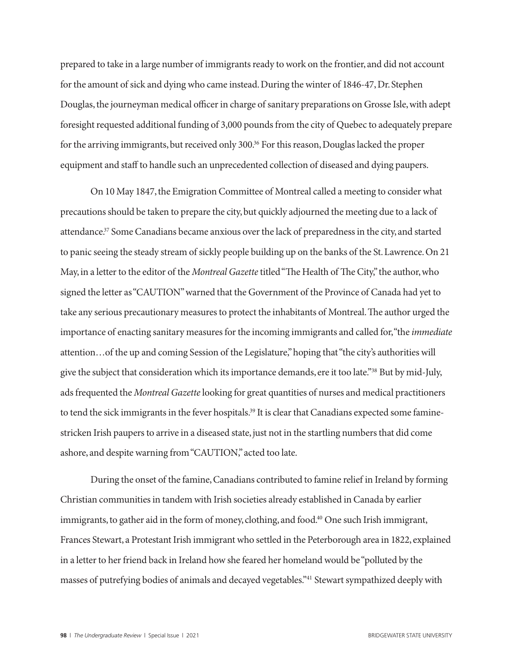prepared to take in a large number of immigrants ready to work on the frontier, and did not account for the amount of sick and dying who came instead. During the winter of 1846-47, Dr. Stephen Douglas, the journeyman medical officer in charge of sanitary preparations on Grosse Isle, with adept foresight requested additional funding of 3,000 pounds from the city of Quebec to adequately prepare for the arriving immigrants, but received only 300.<sup>36</sup> For this reason, Douglas lacked the proper equipment and staff to handle such an unprecedented collection of diseased and dying paupers.

On 10 May 1847, the Emigration Committee of Montreal called a meeting to consider what precautions should be taken to prepare the city, but quickly adjourned the meeting due to a lack of attendance.37 Some Canadians became anxious over the lack of preparedness in the city, and started to panic seeing the steady stream of sickly people building up on the banks of the St. Lawrence. On 21 May, in a letter to the editor of the *Montreal Gazette* titled "The Health of The City," the author, who signed the letter as "CAUTION" warned that the Government of the Province of Canada had yet to take any serious precautionary measures to protect the inhabitants of Montreal. The author urged the importance of enacting sanitary measures for the incoming immigrants and called for, "the *immediate* attention…of the up and coming Session of the Legislature," hoping that "the city's authorities will give the subject that consideration which its importance demands, ere it too late."38 But by mid-July, ads frequented the *Montreal Gazette* looking for great quantities of nurses and medical practitioners to tend the sick immigrants in the fever hospitals.<sup>39</sup> It is clear that Canadians expected some faminestricken Irish paupers to arrive in a diseased state, just not in the startling numbers that did come ashore, and despite warning from "CAUTION," acted too late.

During the onset of the famine, Canadians contributed to famine relief in Ireland by forming Christian communities in tandem with Irish societies already established in Canada by earlier immigrants, to gather aid in the form of money, clothing, and food.<sup>40</sup> One such Irish immigrant, Frances Stewart, a Protestant Irish immigrant who settled in the Peterborough area in 1822, explained in a letter to her friend back in Ireland how she feared her homeland would be "polluted by the masses of putrefying bodies of animals and decayed vegetables."41 Stewart sympathized deeply with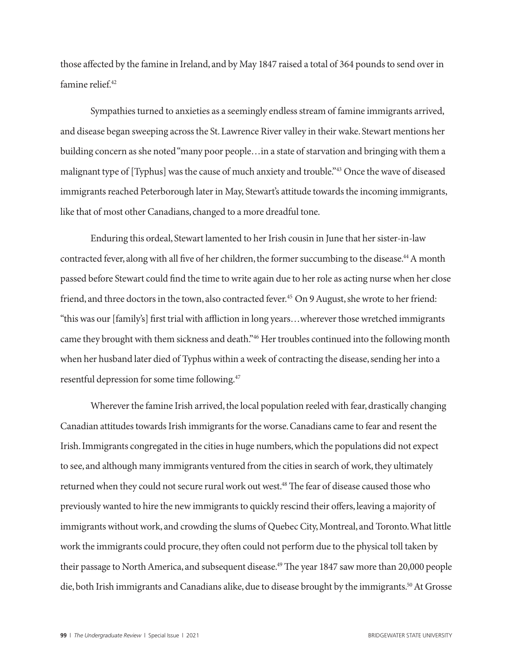those affected by the famine in Ireland, and by May 1847 raised a total of 364 pounds to send over in famine relief.<sup>42</sup>

Sympathies turned to anxieties as a seemingly endless stream of famine immigrants arrived, and disease began sweeping across the St. Lawrence River valley in their wake. Stewart mentions her building concern as she noted "many poor people…in a state of starvation and bringing with them a malignant type of [Typhus] was the cause of much anxiety and trouble."43 Once the wave of diseased immigrants reached Peterborough later in May, Stewart's attitude towards the incoming immigrants, like that of most other Canadians, changed to a more dreadful tone.

Enduring this ordeal, Stewart lamented to her Irish cousin in June that her sister-in-law contracted fever, along with all five of her children, the former succumbing to the disease.<sup>44</sup> A month passed before Stewart could find the time to write again due to her role as acting nurse when her close friend, and three doctors in the town, also contracted fever.<sup>45</sup> On 9 August, she wrote to her friend: "this was our [family's] first trial with affliction in long years…wherever those wretched immigrants came they brought with them sickness and death."46 Her troubles continued into the following month when her husband later died of Typhus within a week of contracting the disease, sending her into a resentful depression for some time following.47

Wherever the famine Irish arrived, the local population reeled with fear, drastically changing Canadian attitudes towards Irish immigrants for the worse. Canadians came to fear and resent the Irish. Immigrants congregated in the cities in huge numbers, which the populations did not expect to see, and although many immigrants ventured from the cities in search of work, they ultimately returned when they could not secure rural work out west.<sup>48</sup> The fear of disease caused those who previously wanted to hire the new immigrants to quickly rescind their offers, leaving a majority of immigrants without work, and crowding the slums of Quebec City, Montreal, and Toronto. What little work the immigrants could procure, they often could not perform due to the physical toll taken by their passage to North America, and subsequent disease.<sup>49</sup> The year 1847 saw more than 20,000 people die, both Irish immigrants and Canadians alike, due to disease brought by the immigrants.<sup>50</sup> At Grosse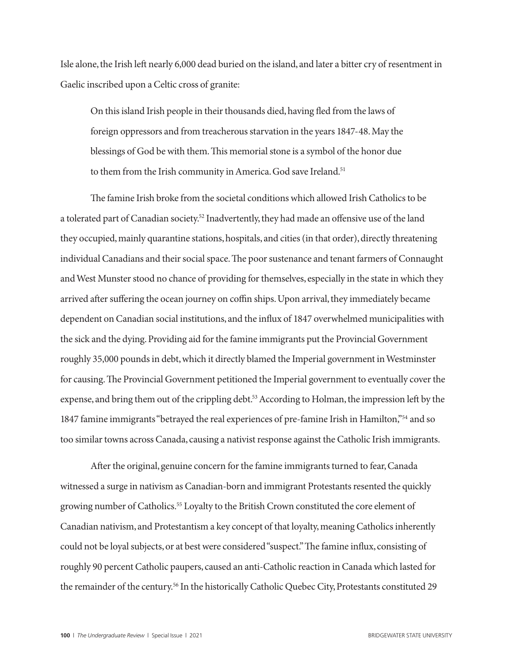Isle alone, the Irish left nearly 6,000 dead buried on the island, and later a bitter cry of resentment in Gaelic inscribed upon a Celtic cross of granite:

On this island Irish people in their thousands died, having fled from the laws of foreign oppressors and from treacherous starvation in the years 1847-48. May the blessings of God be with them. This memorial stone is a symbol of the honor due to them from the Irish community in America. God save Ireland.<sup>51</sup>

The famine Irish broke from the societal conditions which allowed Irish Catholics to be a tolerated part of Canadian society.<sup>52</sup> Inadvertently, they had made an offensive use of the land they occupied, mainly quarantine stations, hospitals, and cities (in that order), directly threatening individual Canadians and their social space. The poor sustenance and tenant farmers of Connaught and West Munster stood no chance of providing for themselves, especially in the state in which they arrived after suffering the ocean journey on coffin ships. Upon arrival, they immediately became dependent on Canadian social institutions, and the influx of 1847 overwhelmed municipalities with the sick and the dying. Providing aid for the famine immigrants put the Provincial Government roughly 35,000 pounds in debt, which it directly blamed the Imperial government in Westminster for causing. The Provincial Government petitioned the Imperial government to eventually cover the expense, and bring them out of the crippling debt.<sup>53</sup> According to Holman, the impression left by the 1847 famine immigrants "betrayed the real experiences of pre-famine Irish in Hamilton,"54 and so too similar towns across Canada, causing a nativist response against the Catholic Irish immigrants.

After the original, genuine concern for the famine immigrants turned to fear, Canada witnessed a surge in nativism as Canadian-born and immigrant Protestants resented the quickly growing number of Catholics.<sup>55</sup> Loyalty to the British Crown constituted the core element of Canadian nativism, and Protestantism a key concept of that loyalty, meaning Catholics inherently could not be loyal subjects, or at best were considered "suspect." The famine influx, consisting of roughly 90 percent Catholic paupers, caused an anti-Catholic reaction in Canada which lasted for the remainder of the century.<sup>56</sup> In the historically Catholic Quebec City, Protestants constituted 29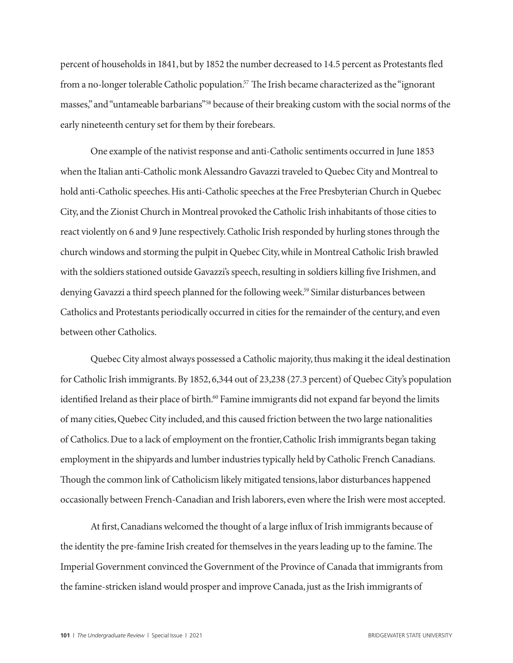percent of households in 1841, but by 1852 the number decreased to 14.5 percent as Protestants fled from a no-longer tolerable Catholic population.<sup>57</sup> The Irish became characterized as the "ignorant masses," and "untameable barbarians"58 because of their breaking custom with the social norms of the early nineteenth century set for them by their forebears.

One example of the nativist response and anti-Catholic sentiments occurred in June 1853 when the Italian anti-Catholic monk Alessandro Gavazzi traveled to Quebec City and Montreal to hold anti-Catholic speeches. His anti-Catholic speeches at the Free Presbyterian Church in Quebec City, and the Zionist Church in Montreal provoked the Catholic Irish inhabitants of those cities to react violently on 6 and 9 June respectively. Catholic Irish responded by hurling stones through the church windows and storming the pulpit in Quebec City, while in Montreal Catholic Irish brawled with the soldiers stationed outside Gavazzi's speech, resulting in soldiers killing five Irishmen, and denying Gavazzi a third speech planned for the following week.<sup>59</sup> Similar disturbances between Catholics and Protestants periodically occurred in cities for the remainder of the century, and even between other Catholics.

Quebec City almost always possessed a Catholic majority, thus making it the ideal destination for Catholic Irish immigrants. By 1852, 6,344 out of 23,238 (27.3 percent) of Quebec City's population identified Ireland as their place of birth.<sup>60</sup> Famine immigrants did not expand far beyond the limits of many cities, Quebec City included, and this caused friction between the two large nationalities of Catholics. Due to a lack of employment on the frontier, Catholic Irish immigrants began taking employment in the shipyards and lumber industries typically held by Catholic French Canadians. Though the common link of Catholicism likely mitigated tensions, labor disturbances happened occasionally between French-Canadian and Irish laborers, even where the Irish were most accepted.

At first, Canadians welcomed the thought of a large influx of Irish immigrants because of the identity the pre-famine Irish created for themselves in the years leading up to the famine. The Imperial Government convinced the Government of the Province of Canada that immigrants from the famine-stricken island would prosper and improve Canada, just as the Irish immigrants of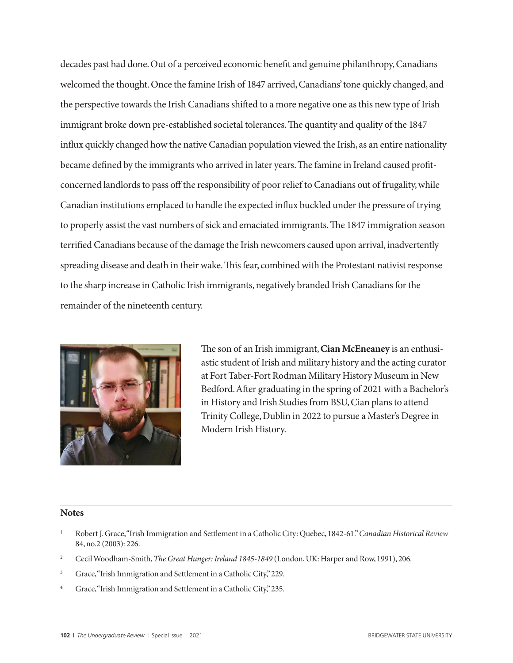decades past had done. Out of a perceived economic benefit and genuine philanthropy, Canadians welcomed the thought. Once the famine Irish of 1847 arrived, Canadians' tone quickly changed, and the perspective towards the Irish Canadians shifted to a more negative one as this new type of Irish immigrant broke down pre-established societal tolerances. The quantity and quality of the 1847 influx quickly changed how the native Canadian population viewed the Irish, as an entire nationality became defined by the immigrants who arrived in later years. The famine in Ireland caused profitconcerned landlords to pass off the responsibility of poor relief to Canadians out of frugality, while Canadian institutions emplaced to handle the expected influx buckled under the pressure of trying to properly assist the vast numbers of sick and emaciated immigrants. The 1847 immigration season terrified Canadians because of the damage the Irish newcomers caused upon arrival, inadvertently spreading disease and death in their wake. This fear, combined with the Protestant nativist response to the sharp increase in Catholic Irish immigrants, negatively branded Irish Canadians for the remainder of the nineteenth century.



The son of an Irish immigrant, **Cian McEneaney** is an enthusiastic student of Irish and military history and the acting curator at Fort Taber-Fort Rodman Military History Museum in New Bedford. After graduating in the spring of 2021 with a Bachelor's in History and Irish Studies from BSU, Cian plans to attend Trinity College, Dublin in 2022 to pursue a Master's Degree in Modern Irish History.

#### **Notes**

- <sup>1</sup> Robert J. Grace, "Irish Immigration and Settlement in a Catholic City: Quebec, 1842-61." *Canadian Historical Review* 84, no.2 (2003): 226.
- <sup>2</sup> Cecil Woodham-Smith, *The Great Hunger: Ireland 1845-1849* (London, UK: Harper and Row, 1991), 206.
- <sup>3</sup> Grace, "Irish Immigration and Settlement in a Catholic City," 229.
- <sup>4</sup> Grace, "Irish Immigration and Settlement in a Catholic City," 235.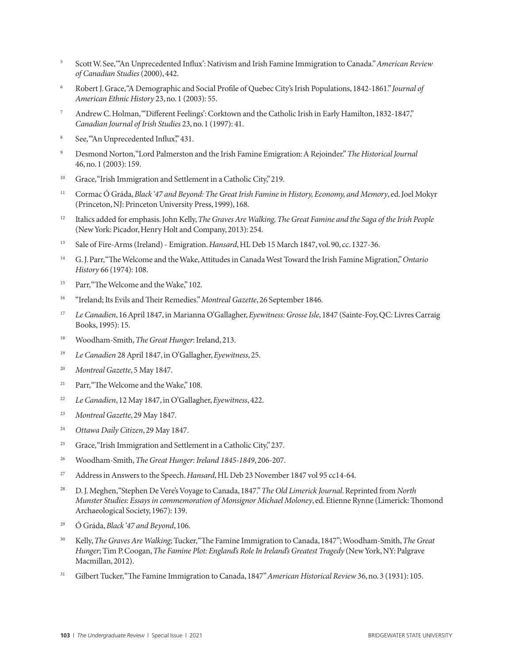- <sup>5</sup> Scott W. See, "'An Unprecedented Influx': Nativism and Irish Famine Immigration to Canada." *American Review of Canadian Studies* (2000), 442.
- <sup>6</sup> Robert J. Grace, "A Demographic and Social Profile of Quebec City's Irish Populations, 1842-1861." *Journal of American Ethnic History* 23, no. 1 (2003): 55.
- <sup>7</sup> Andrew C. Holman, "'Different Feelings': Corktown and the Catholic Irish in Early Hamilton, 1832-1847," *Canadian Journal of Irish Studies* 23, no. 1 (1997): 41.
- <sup>8</sup> See, "An Unprecedented Influx," 431.
- <sup>9</sup> Desmond Norton, "Lord Palmerston and the Irish Famine Emigration: A Rejoinder." *The Historical Journal*  46, no. 1 (2003): 159.
- <sup>10</sup> Grace, "Irish Immigration and Settlement in a Catholic City," 219.
- <sup>11</sup> Cormac Ó Gráda, *Black '47 and Beyond: The Great Irish Famine in History, Economy, and Memory*, ed. Joel Mokyr (Princeton, NJ: Princeton University Press, 1999), 168.
- <sup>12</sup> Italics added for emphasis. John Kelly, *The Graves Are Walking, The Great Famine and the Saga of the Irish People* (New York: Picador, Henry Holt and Company, 2013): 254.
- <sup>13</sup> Sale of Fire-Arms (Ireland) Emigration. *Hansard*, HL Deb 15 March 1847, vol. 90, cc. 1327-36.
- <sup>14</sup> G. J. Parr, "The Welcome and the Wake, Attitudes in Canada West Toward the Irish Famine Migration," *Ontario History* 66 (1974): 108.
- <sup>15</sup> Parr, "The Welcome and the Wake," 102.
- <sup>16</sup> "Ireland; Its Evils and Their Remedies." *Montreal Gazette*, 26 September 1846.
- <sup>17</sup> *Le Canadien*, 16 April 1847, in Marianna O'Gallagher, *Eyewitness: Grosse Isle*, 1847 (Sainte-Foy, QC: Livres Carraig Books, 1995): 15.
- <sup>18</sup> Woodham-Smith, *The Great Hunger*: Ireland, 213.
- <sup>19</sup> *Le Canadien* 28 April 1847, in O'Gallagher, *Eyewitness*, 25.
- <sup>20</sup> *Montreal Gazette*, 5 May 1847.
- <sup>21</sup> Parr, "The Welcome and the Wake," 108.
- <sup>22</sup> *Le Canadien*, 12 May 1847, in O'Gallagher, *Eyewitness*, 422.
- <sup>23</sup> *Montreal Gazette*, 29 May 1847.
- <sup>24</sup> *Ottawa Daily Citizen*, 29 May 1847.
- <sup>25</sup> Grace, "Irish Immigration and Settlement in a Catholic City," 237.
- <sup>26</sup> Woodham-Smith, *The Great Hunger: Ireland 1845-1849*, 206-207.
- <sup>27</sup> Address in Answers to the Speech. *Hansard*, HL Deb 23 November 1847 vol 95 cc14-64.
- <sup>28</sup> D. J. Meghen, "Stephen De Vere's Voyage to Canada, 1847." *The Old Limerick Journal*. Reprinted from *North Munster Studies: Essays in commemoration of Monsignor Michael Moloney*, ed. Etienne Rynne (Limerick: Thomond Archaeological Society, 1967): 139.
- 29 Ó Gráda, *Black '47 and Beyond*, 106.
- <sup>30</sup> Kelly, *The Graves Are Walking*; Tucker, "The Famine Immigration to Canada, 1847"; Woodham-Smith, *The Great Hunger*; Tim P. Coogan, *The Famine Plot: England's Role In Ireland's Greatest Tragedy* (New York, NY: Palgrave Macmillan, 2012).
- <sup>31</sup> Gilbert Tucker, "The Famine Immigration to Canada, 1847" *American Historical Review* 36, no. 3 (1931): 105.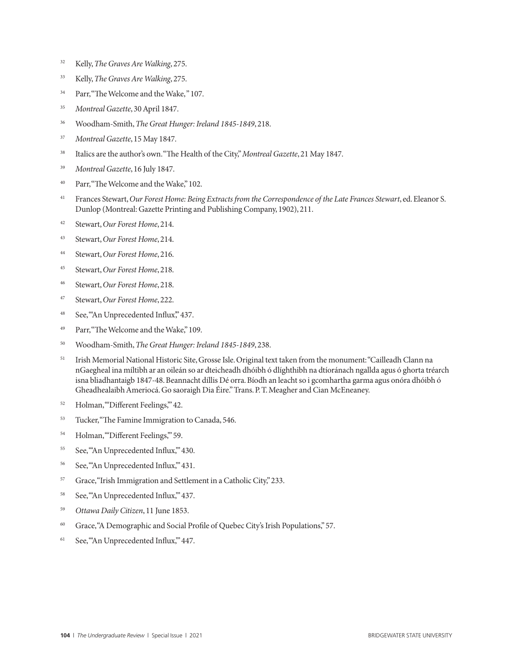- <sup>32</sup> Kelly, *The Graves Are Walking*, 275.
- <sup>33</sup> Kelly, *The Graves Are Walking*, 275.
- <sup>34</sup> Parr, "The Welcome and the Wake," 107.
- <sup>35</sup> *Montreal Gazette*, 30 April 1847.
- <sup>36</sup> Woodham-Smith, *The Great Hunger: Ireland 1845-1849*, 218.
- <sup>37</sup> *Montreal Gazette*, 15 May 1847.
- <sup>38</sup> Italics are the author's own. "The Health of the City," *Montreal Gazette*, 21 May 1847.
- <sup>39</sup> *Montreal Gazette*, 16 July 1847.
- <sup>40</sup> Parr, "The Welcome and the Wake," 102.
- <sup>41</sup> Frances Stewart, *Our Forest Home: Being Extracts from the Correspondence of the Late Frances Stewart, ed. Eleanor S.* Dunlop (Montreal: Gazette Printing and Publishing Company, 1902), 211.
- <sup>42</sup> Stewart, *Our Forest Home*, 214.
- <sup>43</sup> Stewart, *Our Forest Home*, 214.
- <sup>44</sup> Stewart, *Our Forest Home*, 216.
- <sup>45</sup> Stewart, *Our Forest Home*, 218.
- <sup>46</sup> Stewart, *Our Forest Home*, 218.
- <sup>47</sup> Stewart, *Our Forest Home*, 222.
- <sup>48</sup> See, "An Unprecedented Influx," 437.
- <sup>49</sup> Parr, "The Welcome and the Wake," 109.
- <sup>50</sup> Woodham-Smith, *The Great Hunger: Ireland 1845-1849*, 238.
- <sup>51</sup> Irish Memorial National Historic Site, Grosse Isle. Original text taken from the monument: "Cailleadh Clann na nGaegheal ina míltibh ar an oileán so ar dteicheadh dhóibh ó dlíghthibh na dtíoránach ngallda agus ó ghorta tréarch isna bliadhantaigb 1847-48. Beannacht díllis Dé orra. Bíodh an leacht so i gcomhartha garma agus onóra dhóibh ó Gheadhealaibh Ameriocá. Go saoraigh Dia Éire." Trans. P. T. Meagher and Cian McEneaney.
- <sup>52</sup> Holman, "Different Feelings," 42.
- <sup>53</sup> Tucker, "The Famine Immigration to Canada, 546.
- <sup>54</sup> Holman, "Different Feelings," 59.
- <sup>55</sup> See, "An Unprecedented Influx," 430.
- <sup>56</sup> See, "An Unprecedented Influx," 431.
- <sup>57</sup> Grace, "Irish Immigration and Settlement in a Catholic City," 233.
- <sup>58</sup> See, "An Unprecedented Influx," 437.
- <sup>59</sup> *Ottawa Daily Citizen*, 11 June 1853.
- <sup>60</sup> Grace, "A Demographic and Social Profile of Quebec City's Irish Populations," 57.
- <sup>61</sup> See, "An Unprecedented Influx," 447.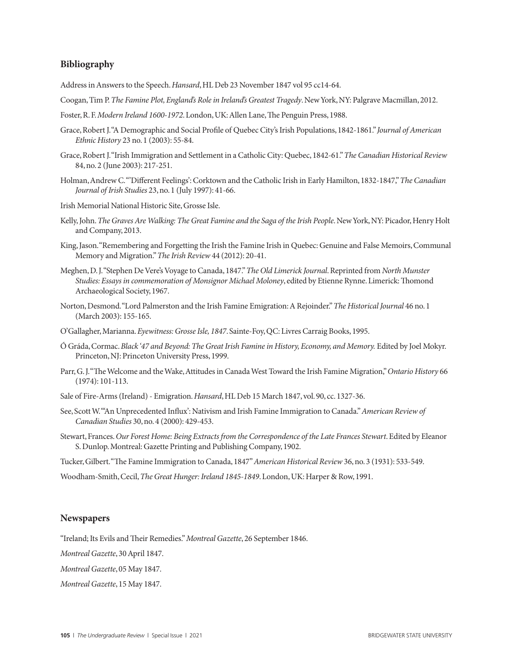#### **Bibliography**

Address in Answers to the Speech. *Hansard*, HL Deb 23 November 1847 vol 95 cc14-64.

- Coogan, Tim P. *The Famine Plot, England's Role in Ireland's Greatest Tragedy*. New York, NY: Palgrave Macmillan, 2012.
- Foster, R. F. *Modern Ireland 1600-1972*. London, UK: Allen Lane, The Penguin Press, 1988.
- Grace, Robert J. "A Demographic and Social Profile of Quebec City's Irish Populations, 1842-1861." *Journal of American Ethnic History* 23 no. 1 (2003): 55-84.
- Grace, Robert J. "Irish Immigration and Settlement in a Catholic City: Quebec, 1842-61." *The Canadian Historical Review* 84, no. 2 (June 2003): 217-251.
- Holman, Andrew C. "'Different Feelings': Corktown and the Catholic Irish in Early Hamilton, 1832-1847," *The Canadian Journal of Irish Studies* 23, no. 1 (July 1997): 41-66.
- Irish Memorial National Historic Site, Grosse Isle.
- Kelly, John. The Graves Are Walking: The Great Famine and the Saga of the Irish People. New York, NY: Picador, Henry Holt and Company, 2013.
- King, Jason. "Remembering and Forgetting the Irish the Famine Irish in Quebec: Genuine and False Memoirs, Communal Memory and Migration." *The Irish Review* 44 (2012): 20-41.
- Meghen, D. J. "Stephen De Vere's Voyage to Canada, 1847." *The Old Limerick Journal*. Reprinted from *North Munster Studies: Essays in commemoration of Monsignor Michael Moloney*, edited by Etienne Rynne. Limerick: Thomond Archaeological Society, 1967.
- Norton, Desmond. "Lord Palmerston and the Irish Famine Emigration: A Rejoinder." *The Historical Journal* 46 no. 1 (March 2003): 155-165.
- O'Gallagher, Marianna. *Eyewitness: Grosse Isle, 1847*. Sainte-Foy, QC: Livres Carraig Books, 1995.
- Ó Gráda, Cormac. *Black '47 and Beyond: The Great Irish Famine in History, Economy, and Memory.* Edited by Joel Mokyr. Princeton, NJ: Princeton University Press, 1999.
- Parr, G. J. "The Welcome and the Wake, Attitudes in Canada West Toward the Irish Famine Migration," *Ontario History* 66 (1974): 101-113.
- Sale of Fire-Arms (Ireland) Emigration. *Hansard*, HL Deb 15 March 1847, vol. 90, cc. 1327-36.
- See, Scott W. "'An Unprecedented Influx': Nativism and Irish Famine Immigration to Canada." *American Review of Canadian Studies* 30, no. 4 (2000): 429-453.
- Stewart, Frances. *Our Forest Home: Being Extracts from the Correspondence of the Late Frances Stewart*. Edited by Eleanor S. Dunlop. Montreal: Gazette Printing and Publishing Company, 1902.

Tucker, Gilbert. "The Famine Immigration to Canada, 1847" *American Historical Review* 36, no. 3 (1931): 533-549.

Woodham-Smith, Cecil, *The Great Hunger: Ireland 1845-1849*. London, UK: Harper & Row, 1991.

#### **Newspapers**

"Ireland; Its Evils and Their Remedies." *Montreal Gazette*, 26 September 1846.

*Montreal Gazette*, 30 April 1847.

*Montreal Gazette*, 05 May 1847.

*Montreal Gazette*, 15 May 1847.